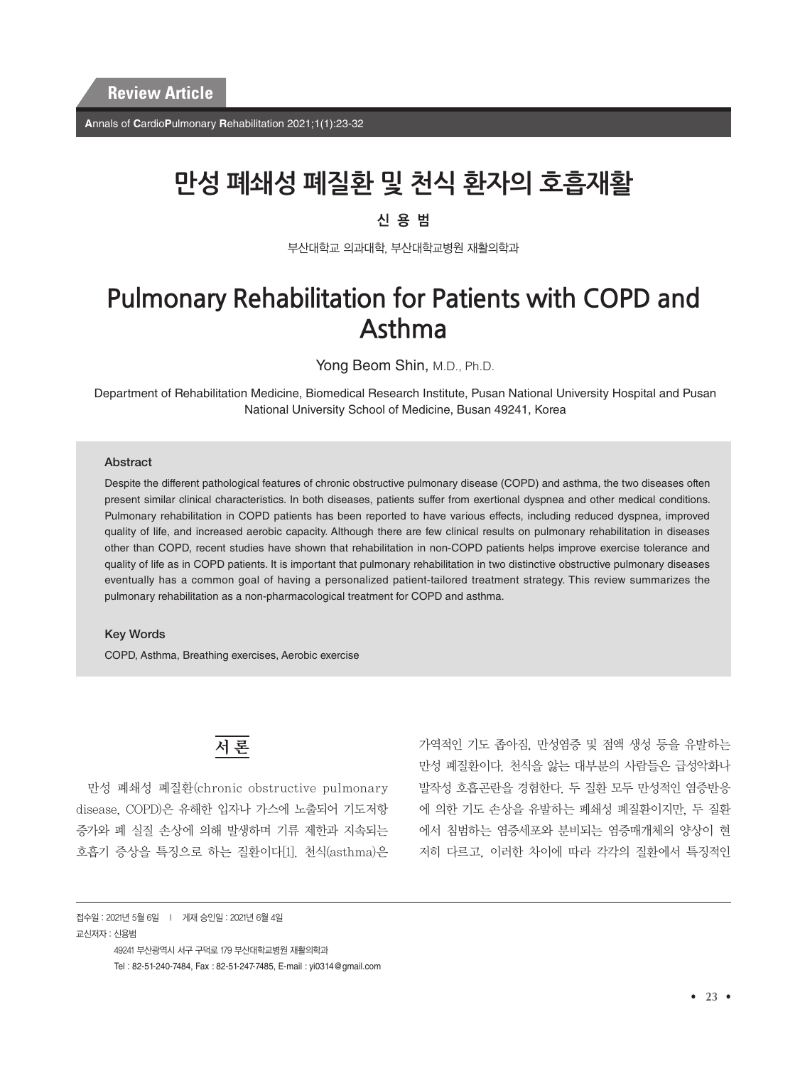**A**nnals of **C**ardio**P**ulmonary **R**ehabilitation 2021;1(1):23-32

# **만성 폐쇄성 폐질환 및 천식 환자의 호흡재활**

## 신용범

부산대학교 의과대학, 부산대학교병원 재활의학과

# **Pulmonary Rehabilitation for Patients with COPD and Asthma**

Yong Beom Shin, M.D., Ph.D.

Department of Rehabilitation Medicine, Biomedical Research Institute, Pusan National University Hospital and Pusan National University School of Medicine, Busan 49241, Korea

#### Abstract

Despite the different pathological features of chronic obstructive pulmonary disease (COPD) and asthma, the two diseases often present similar clinical characteristics. In both diseases, patients suffer from exertional dyspnea and other medical conditions. Pulmonary rehabilitation in COPD patients has been reported to have various effects, including reduced dyspnea, improved quality of life, and increased aerobic capacity. Although there are few clinical results on pulmonary rehabilitation in diseases other than COPD, recent studies have shown that rehabilitation in non-COPD patients helps improve exercise tolerance and quality of life as in COPD patients. It is important that pulmonary rehabilitation in two distinctive obstructive pulmonary diseases eventually has a common goal of having a personalized patient-tailored treatment strategy. This review summarizes the pulmonary rehabilitation as a non-pharmacological treatment for COPD and asthma.

#### Key Words

COPD, Asthma, Breathing exercises, Aerobic exercise

## 서 론

만성 폐쇄성 폐질환(chronic obstructive pulmonary disease, COPD)은 유해한 입자나 가스에 노출되어 기도저항 증가와 폐 실질 손상에 의해 발생하며 기류 제한과 지속되는 호흡기 증상을 특징으로 하는 질환이다[1]. 천식(asthma)은

가역적인 기도 좁아짐, 만성염증 및 점액 생성 등을 유발하는 만성 폐질환이다. 천식을 앓는 대부분의 사람들은 급성악화나 발작성 호흡곤란을 경험한다. 두 질환 모두 만성적인 염증반응 에 의한 기도 손상을 유발하는 폐쇄성 폐질환이지만, 두 질환 에서 침범하는 염증세포와 분비되는 염증매개체의 양상이 현 저히 다르고, 이러한 차이에 따라 각각의 질환에서 특징적인

접수일 : 2021년 5월 6일 l 게재 승인일 : 2021년 6월 4일 교신저자 : 신용범 49241 부산광역시 서구 구덕로 179 부산대학교병원 재활의학과 Tel : 82-51-240-7484, Fax : 82-51-247-7485, E-mail : yi0314@gmail.com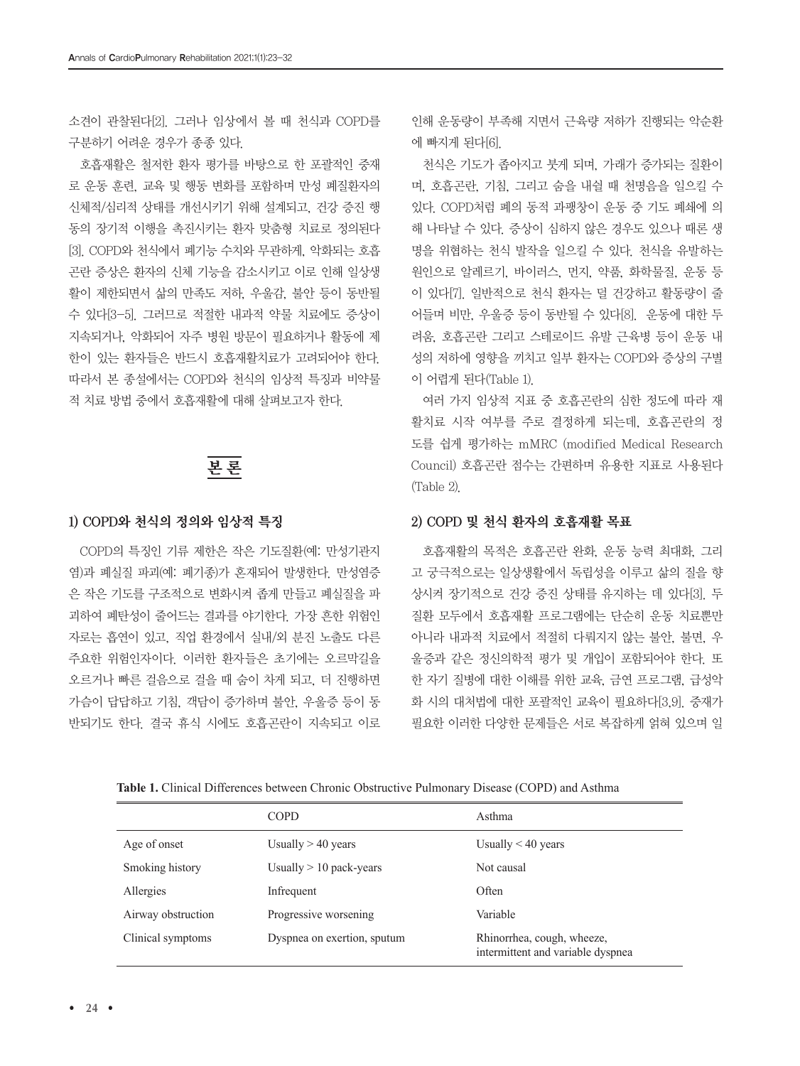소견이 관찰된다[2]. 그러나 임상에서 볼 때 천식과 COPD를 구분하기 어려운 경우가 종종 있다.

호흡재활은 철저한 환자 평가를 바탕으로 한 포괄적인 중재 로 운동 훈련, 교육 및 행동 변화를 포함하며 만성 폐질환자의 신체적/심리적 상태를 개선시키기 위해 설계되고, 건강 증진 행 동의 장기적 이행을 촉진시키는 환자 맞춤형 치료로 정의된다 [3]. COPD와 천식에서 폐기능 수치와 무관하게, 악화되는 호흡 곤란 증상은 환자의 신체 기능을 감소시키고 이로 인해 일상생 활이 제한되면서 삶의 만족도 저하, 우울감, 불안 등이 동반될 수 있다[3-5]. 그러므로 적절한 내과적 약물 치료에도 증상이 지속되거나, 악화되어 자주 병원 방문이 필요하거나 활동에 제 한이 있는 환자들은 반드시 호흡재활치료가 고려되어야 한다. 따라서 본 종설에서는 COPD와 천식의 임상적 특징과 비약물 적 치료 방법 중에서 호흡재활에 대해 살펴보고자 한다.

# 본 론

#### 1) COPD와 천식의 정의와 임상적 특징

COPD의 특징인 기류 제한은 작은 기도질환(예: 만성기관지 염)과 폐실질 파괴(예: 폐기종)가 혼재되어 발생한다. 만성염증 은 작은 기도를 구조적으로 변화시켜 좁게 만들고 폐실질을 파 괴하여 폐탄성이 줄어드는 결과를 야기한다. 가장 흔한 위험인 자로는 흡연이 있고, 직업 환경에서 실내/외 분진 노출도 다른 주요한 위험인자이다. 이러한 환자들은 초기에는 오르막길을 오르거나 빠른 걸음으로 걸을 때 숨이 차게 되고, 더 진행하면 가슴이 답답하고 기침, 객담이 증가하며 불안, 우울증 등이 동 반되기도 한다. 결국 휴식 시에도 호흡곤란이 지속되고 이로

인해 운동량이 부족해 지면서 근육량 저하가 진행되는 악순환 에 빠지게 된다[6].

천식은 기도가 좁아지고 붓게 되며, 가래가 증가되는 질환이 며, 호흡곤란, 기침, 그리고 숨을 내쉴 때 천명음을 일으킬 수 있다. COPD처럼 폐의 동적 과팽창이 운동 중 기도 폐쇄에 의 해 나타날 수 있다. 증상이 심하지 않은 경우도 있으나 때론 생 명을 위협하는 천식 발작을 일으킬 수 있다. 천식을 유발하는 원인으로 알레르기, 바이러스, 먼지, 약품, 화학물질, 운동 등 이 있다[7]. 일반적으로 천식 환자는 덜 건강하고 활동량이 줄 어들며 비만, 우울증 등이 동반될 수 있다[8]. 운동에 대한 두 려움, 호흡곤란 그리고 스테로이드 유발 근육병 등이 운동 내 성의 저하에 영향을 끼치고 일부 환자는 COPD와 증상의 구별 이 어렵게 된다(Table 1).

여러 가지 임상적 지표 중 호흡곤란의 심한 정도에 따라 재 활치료 시작 여부를 주로 결정하게 되는데, 호흡곤란의 정 도를 쉽게 평가하는 mMRC (modified Medical Research Council) 호흡곤란 점수는 간편하며 유용한 지표로 사용된다 (Table 2).

#### 2) COPD 및 천식 환자의 호흡재활 목표

호흡재활의 목적은 호흡곤란 완화, 운동 능력 최대화, 그리 고 궁극적으로는 일상생활에서 독립성을 이루고 삶의 질을 향 상시켜 장기적으로 건강 증진 상태를 유지하는 데 있다[3]. 두 질환 모두에서 호흡재활 프로그램에는 단순히 운동 치료뿐만 아니라 내과적 치료에서 적절히 다뤄지지 않는 불안, 불면, 우 울증과 같은 정신의학적 평가 및 개입이 포함되어야 한다. 또 한 자기 질병에 대한 이해를 위한 교육, 금연 프로그램, 급성악 화 시의 대처법에 대한 포괄적인 교육이 필요하다[3,9]. 중재가 필요한 이러한 다양한 문제들은 서로 복잡하게 얽혀 있으며 일

|                    | <b>COPD</b>                 | Asthma                                                          |
|--------------------|-----------------------------|-----------------------------------------------------------------|
| Age of onset       | Usually $> 40$ years        | Usually $\leq 40$ years                                         |
| Smoking history    | Usually $> 10$ pack-years   | Not causal                                                      |
| Allergies          | Infrequent                  | Often                                                           |
| Airway obstruction | Progressive worsening       | Variable                                                        |
| Clinical symptoms  | Dyspnea on exertion, sputum | Rhinorrhea, cough, wheeze,<br>intermittent and variable dyspnea |

**Table 1.** Clinical Differences between Chronic Obstructive Pulmonary Disease (COPD) and Asthma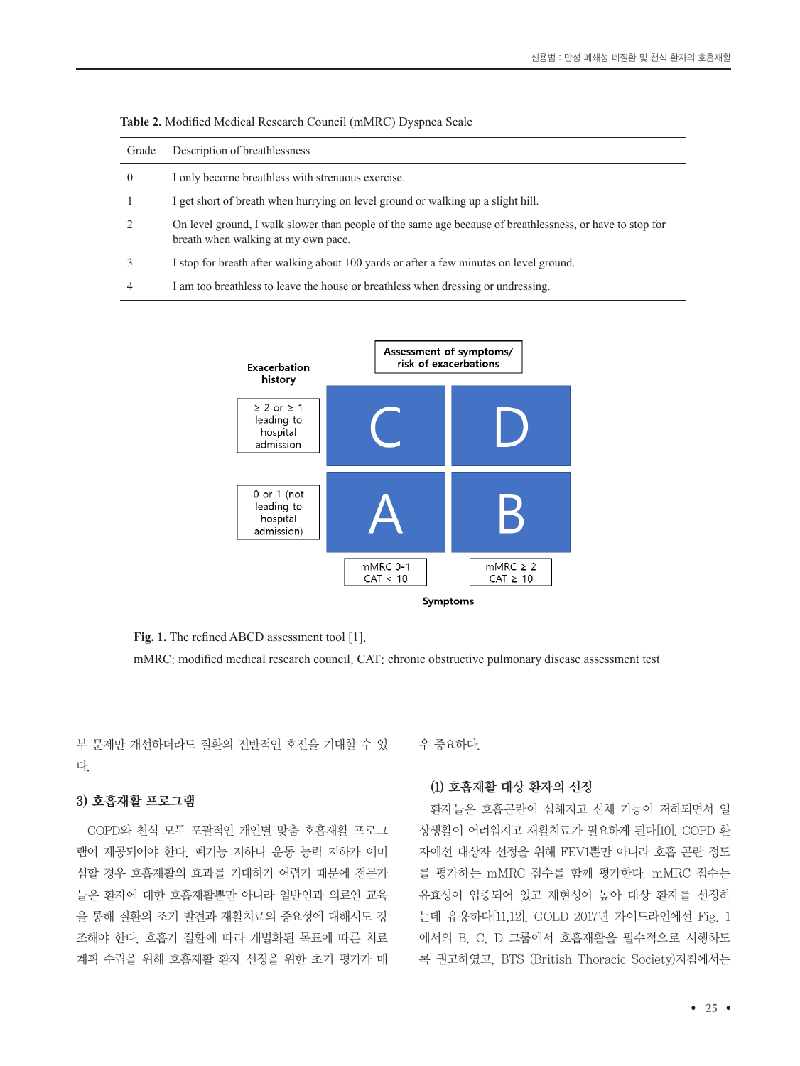| Grade    | Description of breathlessness                                                                                                                    |
|----------|--------------------------------------------------------------------------------------------------------------------------------------------------|
| $\theta$ | I only become breathless with strenuous exercise.                                                                                                |
|          | I get short of breath when hurrying on level ground or walking up a slight hill.                                                                 |
|          | On level ground, I walk slower than people of the same age because of breathlessness, or have to stop for<br>breath when walking at my own pace. |
|          | I stop for breath after walking about 100 yards or after a few minutes on level ground.                                                          |
| 4        | I am too breathless to leave the house or breathless when dressing or undressing.                                                                |



**Table 2.** Modified Medical Research Council (mMRC) Dyspnea Scale



Fig. 1. The refined ABCD assessment tool [1].

mMRC: modified medical research council, CAT: chronic obstructive pulmonary disease assessment test

부 문제만 개선하더라도 질환의 전반적인 호전을 기대할 수 있 다.

### 3) 호흡재활 프로그램

COPD와 천식 모두 포괄적인 개인별 맞춤 호흡재활 프로그 램이 제공되어야 한다. 폐기능 저하나 운동 능력 저하가 이미 심할 경우 호흡재활의 효과를 기대하기 어렵기 때문에 전문가 들은 환자에 대한 호흡재활뿐만 아니라 일반인과 의료인 교육 을 통해 질환의 조기 발견과 재활치료의 중요성에 대해서도 강 조해야 한다. 호흡기 질환에 따라 개별화된 목표에 따른 치료 계획 수립을 위해 호흡재활 환자 선정을 위한 초기 평가가 매 우 중요하다.

### (1) 호흡재활 대상 환자의 선정

환자들은 호흡곤란이 심해지고 신체 기능이 저하되면서 일 상생활이 어려워지고 재활치료가 필요하게 된다[10]. COPD 환 자에선 대상자 선정을 위해 FEV1뿐만 아니라 호흡 곤란 정도 를 평가하는 mMRC 점수를 함께 평가한다. mMRC 점수는 유효성이 입증되어 있고 재현성이 높아 대상 환자를 선정하 는데 유용하다[11,12]. GOLD 2017년 가이드라인에선 Fig. 1 에서의 B, C, D 그룹에서 호흡재활을 필수적으로 시행하도 록 권고하였고, BTS (British Thoracic Society)지침에서는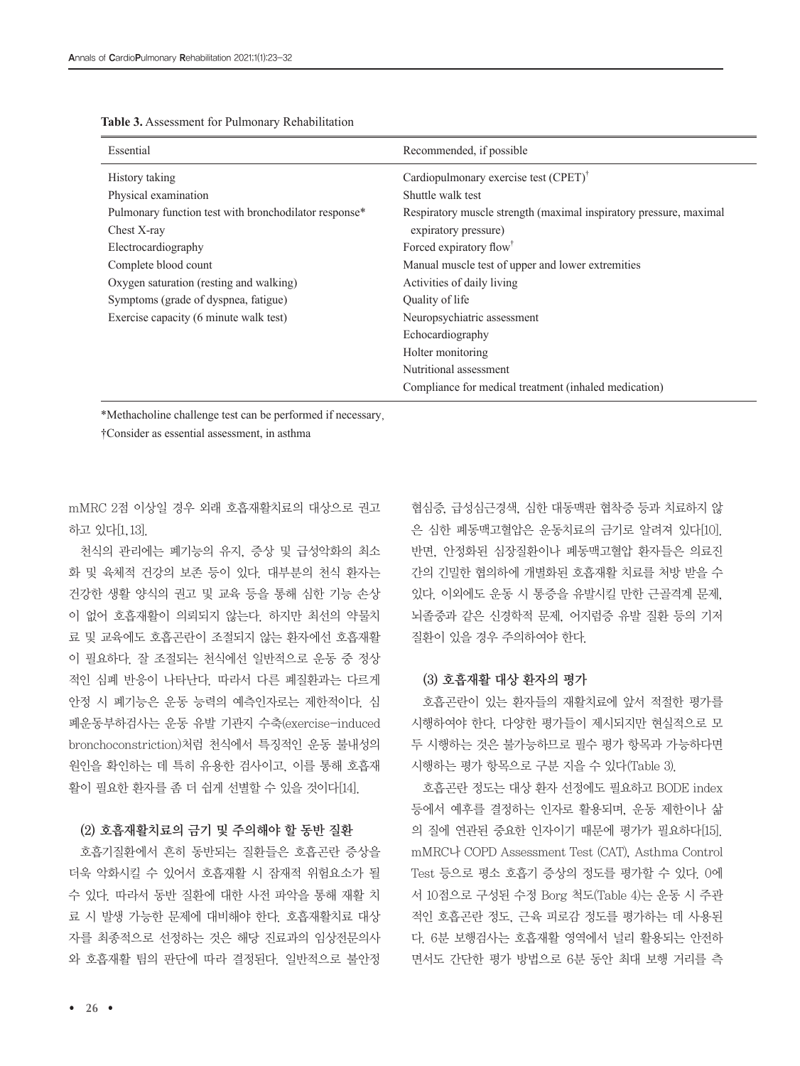| Essential                                             | Recommended, if possible                                           |
|-------------------------------------------------------|--------------------------------------------------------------------|
| History taking                                        | Cardiopulmonary exercise test $(CPET)^{\dagger}$                   |
| Physical examination                                  | Shuttle walk test                                                  |
| Pulmonary function test with bronchodilator response* | Respiratory muscle strength (maximal inspiratory pressure, maximal |
| Chest X-ray                                           | expiratory pressure)                                               |
| Electrocardiography                                   | Forced expiratory flow <sup>†</sup>                                |
| Complete blood count                                  | Manual muscle test of upper and lower extremities                  |
| Oxygen saturation (resting and walking)               | Activities of daily living                                         |
| Symptoms (grade of dyspnea, fatigue)                  | Quality of life                                                    |
| Exercise capacity (6 minute walk test)                | Neuropsychiatric assessment                                        |
|                                                       | Echocardiography                                                   |
|                                                       | Holter monitoring                                                  |
|                                                       | Nutritional assessment                                             |
|                                                       | Compliance for medical treatment (inhaled medication)              |

**Table 3.** Assessment for Pulmonary Rehabilitation

\*Methacholine challenge test can be performed if necessary,

†Consider as essential assessment, in asthma

mMRC 2점 이상일 경우 외래 호흡재활치료의 대상으로 권고 하고 있다[1,13].

천식의 관리에는 폐기능의 유지, 증상 및 급성악화의 최소 화 및 육체적 건강의 보존 등이 있다. 대부분의 천식 환자는 건강한 생활 양식의 권고 및 교육 등을 통해 심한 기능 손상 이 없어 호흡재활이 의뢰되지 않는다. 하지만 최선의 약물치 료 및 교육에도 호흡곤란이 조절되지 않는 환자에선 호흡재활 이 필요하다. 잘 조절되는 천식에선 일반적으로 운동 중 정상 적인 심폐 반응이 나타난다. 따라서 다른 폐질환과는 다르게 안정 시 폐기능은 운동 능력의 예측인자로는 제한적이다. 심 폐운동부하검사는 운동 유발 기관지 수축(exercise-induced bronchoconstriction)처럼 천식에서 특징적인 운동 불내성의 원인을 확인하는 데 특히 유용한 검사이고, 이를 통해 호흡재 활이 필요한 환자를 좀 더 쉽게 선별할 수 있을 것이다[14].

#### (2) 호흡재활치료의 금기 및 주의해야 할 동반 질환

호흡기질환에서 흔히 동반되는 질환들은 호흡곤란 증상을 더욱 악화시킬 수 있어서 호흡재활 시 잠재적 위험요소가 될 수 있다. 따라서 동반 질환에 대한 사전 파악을 통해 재활 치 료 시 발생 가능한 문제에 대비해야 한다. 호흡재활치료 대상 자를 최종적으로 선정하는 것은 해당 진료과의 임상전문의사 와 호흡재활 팀의 판단에 따라 결정된다. 일반적으로 불안정

협심증, 급성심근경색, 심한 대동맥판 협착증 등과 치료하지 않 은 심한 폐동맥고혈압은 운동치료의 금기로 알려져 있다[10]. 반면, 안정화된 심장질환이나 폐동맥고혈압 환자들은 의료진 간의 긴밀한 협의하에 개별화된 호흡재활 치료를 처방 받을 수 있다. 이외에도 운동 시 통증을 유발시킬 만한 근골격계 문제, 뇌졸중과 같은 신경학적 문제, 어지럼증 유발 질환 등의 기저 질환이 있을 경우 주의하여야 한다.

#### (3) 호흡재활 대상 환자의 평가

호흡곤란이 있는 환자들의 재활치료에 앞서 적절한 평가를 시행하여야 한다. 다양한 평가들이 제시되지만 현실적으로 모 두 시행하는 것은 불가능하므로 필수 평가 항목과 가능하다면 시행하는 평가 항목으로 구분 지을 수 있다(Table 3).

호흡곤란 정도는 대상 환자 선정에도 필요하고 BODE index 등에서 예후를 결정하는 인자로 활용되며, 운동 제한이나 삶 의 질에 연관된 중요한 인자이기 때문에 평가가 필요하다[15]. mMRC나 COPD Assessment Test (CAT), Asthma Control Test 등으로 평소 호흡기 증상의 정도를 평가할 수 있다. 0에 서 10점으로 구성된 수정 Borg 척도(Table 4)는 운동 시 주관 적인 호흡곤란 정도, 근육 피로감 정도를 평가하는 데 사용된 다. 6분 보행검사는 호흡재활 영역에서 널리 활용되는 안전하 면서도 간단한 평가 방법으로 6분 동안 최대 보행 거리를 측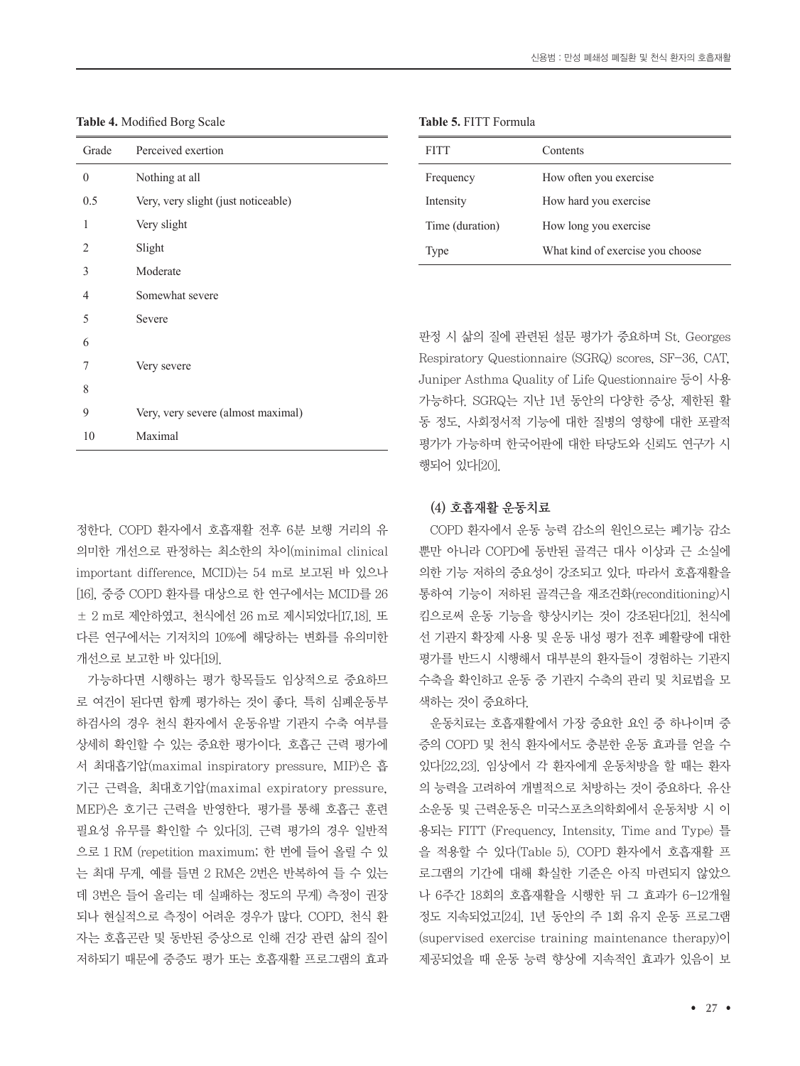| Grade    | Perceived exertion                  | <b>FITT</b>             | Co <sub>1</sub> |
|----------|-------------------------------------|-------------------------|-----------------|
| $\theta$ | Nothing at all                      | Frequency               | Ho              |
| 0.5      | Very, very slight (just noticeable) | Intensity               | Ho              |
|          | Very slight                         | Time (duration)         | Ho              |
| 2        | Slight                              | Type                    | Wh              |
| 3        | Moderate                            |                         |                 |
| 4        | Somewhat severe                     |                         |                 |
| 5        | Severe                              |                         |                 |
| 6        |                                     | 판정 시 삶의 질에 관련된 수        |                 |
| 7        | Very severe                         | Respiratory Questionnai |                 |
| 8        |                                     | Juniper Asthma Quality  |                 |
|          |                                     | 가능하다. SGRQ는 지난 1        |                 |
| 9        | Very, very severe (almost maximal)  | 동 정도, 사회정서적 기능에         |                 |
| 10       | Maximal                             | 평가가 가능하며 한국어판ㅇ          |                 |

**Table 4.** Modified Borg Scale

정한다. COPD 환자에서 호흡재활 전후 6분 보행 거리의 유 의미한 개선으로 판정하는 최소한의 차이(minimal clinical important difference, MCID)는 54 m로 보고된 바 있으나 [16], 중증 COPD 환자를 대상으로 한 연구에서는 MCID를 26 ± 2 m로 제안하였고, 천식에선 26 m로 제시되었다[17,18]. 또 다른 연구에서는 기저치의 10%에 해당하는 변화를 유의미한 개선으로 보고한 바 있다[19].

가능하다면 시행하는 평가 항목들도 임상적으로 중요하므 로 여건이 된다면 함께 평가하는 것이 좋다. 특히 심폐운동부 하검사의 경우 천식 환자에서 운동유발 기관지 수축 여부를 상세히 확인할 수 있는 중요한 평가이다. 호흡근 근력 평가에 서 최대흡기압(maximal inspiratory pressure, MIP)은 흡 기근 근력을, 최대호기압(maximal expiratory pressure, MEP)은 호기근 근력을 반영한다. 평가를 통해 호흡근 훈련 필요성 유무를 확인할 수 있다[3]. 근력 평가의 경우 일반적 으로 1 RM (repetition maximum; 한 번에 들어 올릴 수 있 는 최대 무게, 예를 들면 2 RM은 2번은 반복하여 들 수 있는 데 3번은 들어 올리는 데 실패하는 정도의 무게) 측정이 권장 되나 현실적으로 측정이 어려운 경우가 많다. COPD, 천식 환 자는 호흡곤란 및 동반된 증상으로 인해 건강 관련 삶의 질이 저하되기 때문에 중증도 평가 또는 호흡재활 프로그램의 효과

| <b>Table 5. FITT Formula</b> |  |
|------------------------------|--|
|------------------------------|--|

| <b>FITT</b>     | Contents                         |
|-----------------|----------------------------------|
| Frequency       | How often you exercise           |
| Intensity       | How hard you exercise            |
| Time (duration) | How long you exercise            |
| Type            | What kind of exercise you choose |
|                 |                                  |

설문 평가가 중요하며 St. Georges re (SGRQ) scores, SF-36, CAT, of Life Questionnaire 등이 사용 년 동안의 다양한 증상, 제한된 활 세 대한 질병의 영향에 대한 포괄적 게 대한 타당도와 신뢰도 연구가 시 행되어 있다[20].

#### (4) 호흡재활 운동치료

COPD 환자에서 운동 능력 감소의 원인으로는 폐기능 감소 뿐만 아니라 COPD에 동반된 골격근 대사 이상과 근 소실에 의한 기능 저하의 중요성이 강조되고 있다. 따라서 호흡재활을 통하여 기능이 저하된 골격근을 재조건화(reconditioning)시 킴으로써 운동 기능을 향상시키는 것이 강조된다[21]. 천식에 선 기관지 확장제 사용 및 운동 내성 평가 전후 폐활량에 대한 평가를 반드시 시행해서 대부분의 환자들이 경험하는 기관지 수축을 확인하고 운동 중 기관지 수축의 관리 및 치료법을 모 색하는 것이 중요하다.

운동치료는 호흡재활에서 가장 중요한 요인 중 하나이며 중 증의 COPD 및 천식 환자에서도 충분한 운동 효과를 얻을 수 있다[22,23]. 임상에서 각 환자에게 운동처방을 할 때는 환자 의 능력을 고려하여 개별적으로 처방하는 것이 중요하다. 유산 소운동 및 근력운동은 미국스포츠의학회에서 운동처방 시 이 용되는 FITT (Frequency, Intensity, Time and Type) 틀 을 적용할 수 있다(Table 5). COPD 환자에서 호흡재활 프 로그램의 기간에 대해 확실한 기준은 아직 마련되지 않았으 나 6주간 18회의 호흡재활을 시행한 뒤 그 효과가 6-12개월 정도 지속되었고[24], 1년 동안의 주 1회 유지 운동 프로그램 (supervised exercise training maintenance therapy)이 제공되었을 때 운동 능력 향상에 지속적인 효과가 있음이 보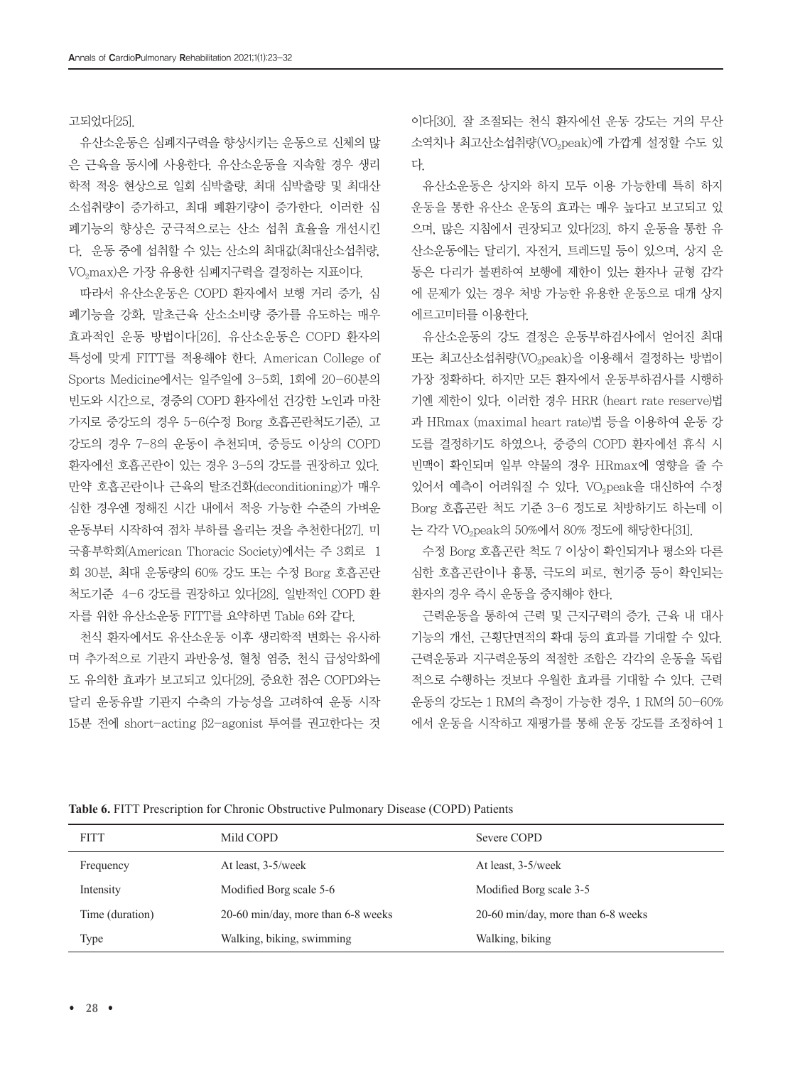고되었다[25].

유산소운동은 심폐지구력을 향상시키는 운동으로 신체의 많 은 근육을 동시에 사용한다. 유산소운동을 지속할 경우 생리 학적 적응 현상으로 일회 심박출량, 최대 심박출량 및 최대산 소섭취량이 증가하고, 최대 폐환기량이 증가한다. 이러한 심 폐기능의 향상은 궁극적으로는 산소 섭취 효율을 개선시킨 다. 운동 중에 섭취할 수 있는 산소의 최대값(최대산소섭취량, VO<sub>2</sub>max)은 가장 유용한 심폐지구력을 결정하는 지표이다.

따라서 유산소운동은 COPD 환자에서 보행 거리 증가, 심 폐기능을 강화, 말초근육 산소소비량 증가를 유도하는 매우 효과적인 운동 방법이다[26]. 유산소운동은 COPD 환자의 특성에 맞게 FITT를 적용해야 한다. American College of Sports Medicine에서는 일주일에 3-5회, 1회에 20-60분의 빈도와 시간으로, 경증의 COPD 환자에선 건강한 노인과 마찬 가지로 중강도의 경우 5-6(수정 Borg 호흡곤란척도기준), 고 강도의 경우 7-8의 운동이 추천되며, 중등도 이상의 COPD 환자에선 호흡곤란이 있는 경우 3-5의 강도를 권장하고 있다. 만약 호흡곤란이나 근육의 탈조건화(deconditioning)가 매우 심한 경우엔 정해진 시간 내에서 적응 가능한 수준의 가벼운 운동부터 시작하여 점차 부하를 올리는 것을 추천한다[27]. 미 국흉부학회(American Thoracic Society)에서는 주 3회로 1 회 30분, 최대 운동량의 60% 강도 또는 수정 Borg 호흡곤란 척도기준 4-6 강도를 권장하고 있다[28]. 일반적인 COPD 환 자를 위한 유산소운동 FITT를 요약하면 Table 6와 같다.

천식 환자에서도 유산소운동 이후 생리학적 변화는 유사하 며 추가적으로 기관지 과반응성, 혈청 염증, 천식 급성악화에 도 유의한 효과가 보고되고 있다[29]. 중요한 점은 COPD와는 달리 운동유발 기관지 수축의 가능성을 고려하여 운동 시작 15분 전에 short-acting β2-agonist 투여를 권고한다는 것

이다[30]. 잘 조절되는 천식 환자에선 운동 강도는 거의 무산 소역치나 최고산소섭취량(VO<sub>2</sub>peak)에 가깝게 설정할 수도 있 다.

유산소운동은 상지와 하지 모두 이용 가능한데 특히 하지 운동을 통한 유산소 운동의 효과는 매우 높다고 보고되고 있 으며, 많은 지침에서 권장되고 있다[23]. 하지 운동을 통한 유 산소운동에는 달리기, 자전거, 트레드밀 등이 있으며, 상지 운 동은 다리가 불편하여 보행에 제한이 있는 환자나 균형 감각 에 문제가 있는 경우 처방 가능한 유용한 운동으로 대개 상지 에르고미터를 이용한다.

유산소운동의 강도 결정은 운동부하검사에서 얻어진 최대 또는 최고산소섭취량(VO<sub>2</sub>peak)을 이용해서 결정하는 방법이 가장 정확하다. 하지만 모든 환자에서 운동부하검사를 시행하 기엔 제한이 있다. 이러한 경우 HRR (heart rate reserve)법 과 HRmax (maximal heart rate)법 등을 이용하여 운동 강 도를 결정하기도 하였으나, 중증의 COPD 환자에선 휴식 시 빈맥이 확인되며 일부 약물의 경우 HRmax에 영향을 줄 수 있어서 예측이 어려워질 수 있다. VO<sub>2</sub>peak을 대신하여 수정 Borg 호흡곤란 척도 기준 3-6 정도로 처방하기도 하는데 이 는 각각 VO<sub>2</sub>peak의 50%에서 80% 정도에 해당한다<sup>[31]</sup>.

수정 Borg 호흡곤란 척도 7 이상이 확인되거나 평소와 다른 심한 호흡곤란이나 흉통, 극도의 피로, 현기증 등이 확인되는 환자의 경우 즉시 운동을 중지해야 한다.

근력운동을 통하여 근력 및 근지구력의 증가, 근육 내 대사 기능의 개선, 근횡단면적의 확대 등의 효과를 기대할 수 있다. 근력운동과 지구력운동의 적절한 조합은 각각의 운동을 독립 적으로 수행하는 것보다 우월한 효과를 기대할 수 있다. 근력 운동의 강도는 1 RM의 측정이 가능한 경우, 1 RM의 50-60% 에서 운동을 시작하고 재평가를 통해 운동 강도를 조정하여 1

| <b>FITT</b>     | Mild COPD                            | Severe COPD                        |
|-----------------|--------------------------------------|------------------------------------|
| Frequency       | At least, 3-5/week                   | At least, 3-5/week                 |
| Intensity       | Modified Borg scale 5-6              | Modified Borg scale 3-5            |
| Time (duration) | 20-60 min/day, more than $6-8$ weeks | 20-60 min/day, more than 6-8 weeks |
| Type            | Walking, biking, swimming            | Walking, biking                    |

**Table 6.** FITT Prescription for Chronic Obstructive Pulmonary Disease (COPD) Patients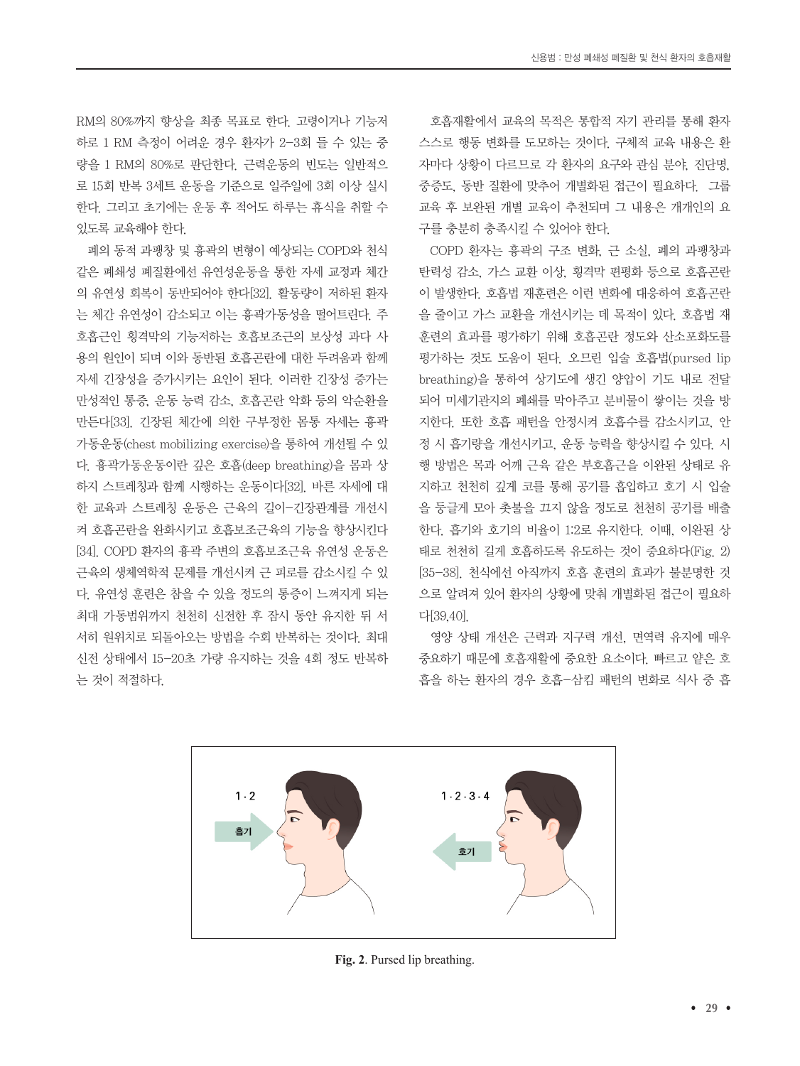RM의 80%까지 향상을 최종 목표로 한다. 고령이거나 기능저 하로 1 RM 측정이 어려운 경우 환자가 2-3회 들 수 있는 중 량을 1 RM의 80%로 판단한다. 근력운동의 빈도는 일반적으 로 15회 반복 3세트 운동을 기준으로 일주일에 3회 이상 실시 한다. 그리고 초기에는 운동 후 적어도 하루는 휴식을 취할 수 있도록 교육해야 한다.

폐의 동적 과팽창 및 흉곽의 변형이 예상되는 COPD와 천식 같은 폐쇄성 폐질환에선 유연성운동을 통한 자세 교정과 체간 의 유연성 회복이 동반되어야 한다[32]. 활동량이 저하된 환자 는 체간 유연성이 감소되고 이는 흉곽가동성을 떨어트린다. 주 호흡근인 횡격막의 기능저하는 호흡보조근의 보상성 과다 사 용의 원인이 되며 이와 동반된 호흡곤란에 대한 두려움과 함께 자세 긴장성을 증가시키는 요인이 된다. 이러한 긴장성 증가는 만성적인 통증, 운동 능력 감소, 호흡곤란 악화 등의 악순환을 만든다[33]. 긴장된 체간에 의한 구부정한 몸통 자세는 흉곽 가동운동(chest mobilizing exercise)을 통하여 개선될 수 있 다. 흉곽가동운동이란 깊은 호흡(deep breathing)을 몸과 상 하지 스트레칭과 함께 시행하는 운동이다[32]. 바른 자세에 대 한 교육과 스트레칭 운동은 근육의 길이-긴장관계를 개선시 켜 호흡곤란을 완화시키고 호흡보조근육의 기능을 향상시킨다 [34]. COPD 환자의 흉곽 주변의 호흡보조근육 유연성 운동은 근육의 생체역학적 문제를 개선시켜 근 피로를 감소시킬 수 있 다. 유연성 훈련은 참을 수 있을 정도의 통증이 느껴지게 되는 최대 가동범위까지 천천히 신전한 후 잠시 동안 유지한 뒤 서 서히 원위치로 되돌아오는 방법을 수회 반복하는 것이다. 최대 신전 상태에서 15-20초 가량 유지하는 것을 4회 정도 반복하 는 것이 적절하다.

호흡재활에서 교육의 목적은 통합적 자기 관리를 통해 환자 스스로 행동 변화를 도모하는 것이다. 구체적 교육 내용은 환 자마다 상황이 다르므로 각 환자의 요구와 관심 분야, 진단명, 중증도, 동반 질환에 맞추어 개별화된 접근이 필요하다. 그룹 교육 후 보완된 개별 교육이 추천되며 그 내용은 개개인의 요 구를 충분히 충족시킬 수 있어야 한다.

COPD 환자는 흉곽의 구조 변화, 근 소실, 폐의 과팽창과 탄력성 감소, 가스 교환 이상, 횡격막 편평화 등으로 호흡곤란 이 발생한다. 호흡법 재훈련은 이런 변화에 대응하여 호흡곤란 을 줄이고 가스 교환을 개선시키는 데 목적이 있다. 호흡법 재 훈련의 효과를 평가하기 위해 호흡곤란 정도와 산소포화도를 평가하는 것도 도움이 된다. 오므린 입술 호흡법(pursed lip breathing)을 통하여 상기도에 생긴 양압이 기도 내로 전달 되어 미세기관지의 폐쇄를 막아주고 분비물이 쌓이는 것을 방 지한다. 또한 호흡 패턴을 안정시켜 호흡수를 감소시키고, 안 정 시 흡기량을 개선시키고, 운동 능력을 향상시킬 수 있다. 시 행 방법은 목과 어깨 근육 같은 부호흡근을 이완된 상태로 유 지하고 천천히 깊게 코를 통해 공기를 흡입하고 호기 시 입술 을 둥글게 모아 촛불을 끄지 않을 정도로 천천히 공기를 배출 한다. 흡기와 호기의 비율이 1:2로 유지한다. 이때, 이완된 상 태로 천천히 길게 호흡하도록 유도하는 것이 중요하다(Fig. 2) [35-38]. 천식에선 아직까지 호흡 훈련의 효과가 불분명한 것 으로 알려져 있어 환자의 상황에 맞춰 개별화된 접근이 필요하 다[39,40].

영양 상태 개선은 근력과 지구력 개선, 면역력 유지에 매우 중요하기 때문에 호흡재활에 중요한 요소이다. 빠르고 얕은 호 흡을 하는 환자의 경우 호흡-삼킴 패턴의 변화로 식사 중 흡



**Fig. 2**. Pursed lip breathing.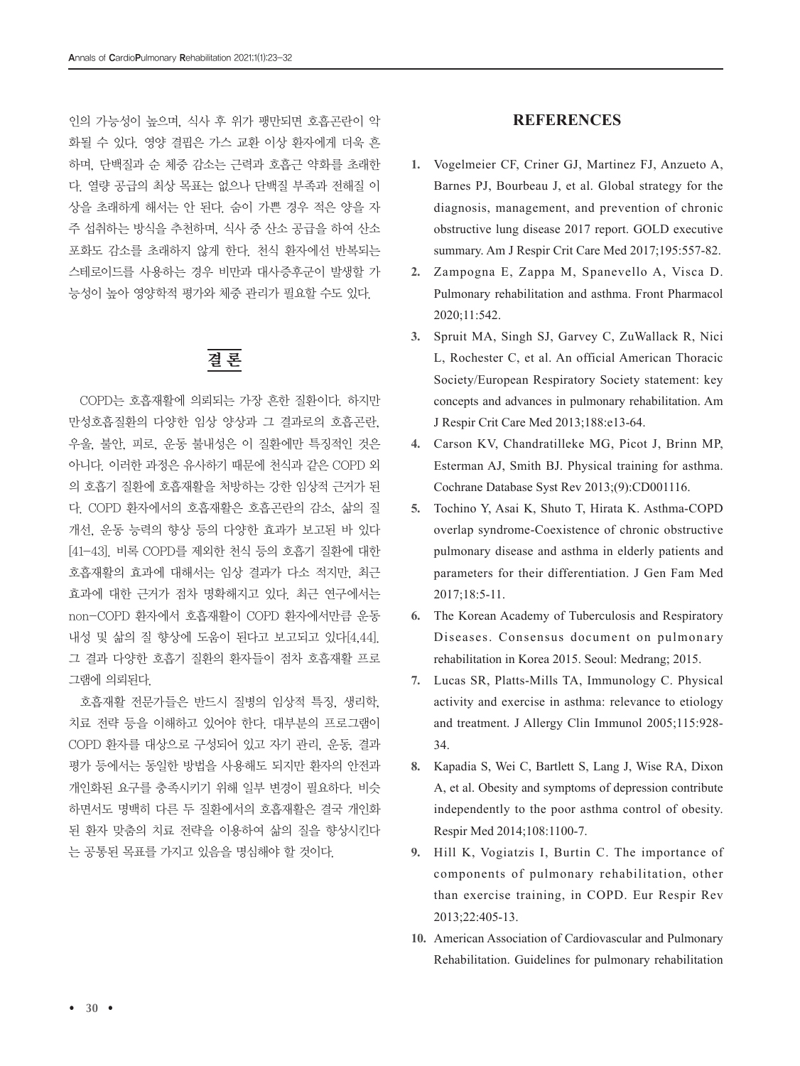인의 가능성이 높으며, 식사 후 위가 팽만되면 호흡곤란이 악 화될 수 있다. 영양 결핍은 가스 교환 이상 환자에게 더욱 흔 하며, 단백질과 순 체중 감소는 근력과 호흡근 약화를 초래한 다. 열량 공급의 최상 목표는 없으나 단백질 부족과 전해질 이 상을 초래하게 해서는 안 된다. 숨이 가쁜 경우 적은 양을 자 주 섭취하는 방식을 추천하며, 식사 중 산소 공급을 하여 산소 포화도 감소를 초래하지 않게 한다. 천식 환자에선 반복되는 스테로이드를 사용하는 경우 비만과 대사증후군이 발생할 가 능성이 높아 영양학적 평가와 체중 관리가 필요할 수도 있다.

# 결 론

COPD는 호흡재활에 의뢰되는 가장 흔한 질환이다. 하지만 만성호흡질환의 다양한 임상 양상과 그 결과로의 호흡곤란, 우울, 불안, 피로, 운동 불내성은 이 질환에만 특징적인 것은 아니다. 이러한 과정은 유사하기 때문에 천식과 같은 COPD 외 의 호흡기 질환에 호흡재활을 처방하는 강한 임상적 근거가 된 다. COPD 환자에서의 호흡재활은 호흡곤란의 감소, 삶의 질 개선, 운동 능력의 향상 등의 다양한 효과가 보고된 바 있다 [41-43]. 비록 COPD를 제외한 천식 등의 호흡기 질환에 대한 호흡재활의 효과에 대해서는 임상 결과가 다소 적지만, 최근 효과에 대한 근거가 점차 명확해지고 있다. 최근 연구에서는 non-COPD 환자에서 호흡재활이 COPD 환자에서만큼 운동 내성 및 삶의 질 향상에 도움이 된다고 보고되고 있다[4,44]. 그 결과 다양한 호흡기 질환의 환자들이 점차 호흡재활 프로 그램에 의뢰된다.

호흡재활 전문가들은 반드시 질병의 임상적 특징, 생리학, 치료 전략 등을 이해하고 있어야 한다. 대부분의 프로그램이 COPD 환자를 대상으로 구성되어 있고 자기 관리, 운동, 결과 평가 등에서는 동일한 방법을 사용해도 되지만 환자의 안전과 개인화된 요구를 충족시키기 위해 일부 변경이 필요하다. 비슷 하면서도 명백히 다른 두 질환에서의 호흡재활은 결국 개인화 된 환자 맞춤의 치료 전략을 이용하여 삶의 질을 향상시킨다 는 공통된 목표를 가지고 있음을 명심해야 할 것이다.

## **REFERENCES**

- **1.** Vogelmeier CF, Criner GJ, Martinez FJ, Anzueto A, Barnes PJ, Bourbeau J, et al. Global strategy for the diagnosis, management, and prevention of chronic obstructive lung disease 2017 report. GOLD executive summary. Am J Respir Crit Care Med 2017;195:557-82.
- **2.** Zampogna E, Zappa M, Spanevello A, Visca D. Pulmonary rehabilitation and asthma. Front Pharmacol 2020;11:542.
- **3.** Spruit MA, Singh SJ, Garvey C, ZuWallack R, Nici L, Rochester C, et al. An official American Thoracic Society/European Respiratory Society statement: key concepts and advances in pulmonary rehabilitation. Am J Respir Crit Care Med 2013;188:e13-64.
- **4.** Carson KV, Chandratilleke MG, Picot J, Brinn MP, Esterman AJ, Smith BJ. Physical training for asthma. Cochrane Database Syst Rev 2013;(9):CD001116.
- **5.** Tochino Y, Asai K, Shuto T, Hirata K. Asthma-COPD overlap syndrome-Coexistence of chronic obstructive pulmonary disease and asthma in elderly patients and parameters for their differentiation. J Gen Fam Med 2017;18:5-11.
- **6.** The Korean Academy of Tuberculosis and Respiratory Diseases. Consensus document on pulmonary rehabilitation in Korea 2015. Seoul: Medrang; 2015.
- **7.** Lucas SR, Platts-Mills TA, Immunology C. Physical activity and exercise in asthma: relevance to etiology and treatment. J Allergy Clin Immunol 2005;115:928- 34.
- **8.** Kapadia S, Wei C, Bartlett S, Lang J, Wise RA, Dixon A, et al. Obesity and symptoms of depression contribute independently to the poor asthma control of obesity. Respir Med 2014;108:1100-7.
- **9.** Hill K, Vogiatzis I, Burtin C. The importance of components of pulmonary rehabilitation, other than exercise training, in COPD. Eur Respir Rev 2013;22:405-13.
- **10.** American Association of Cardiovascular and Pulmonary Rehabilitation. Guidelines for pulmonary rehabilitation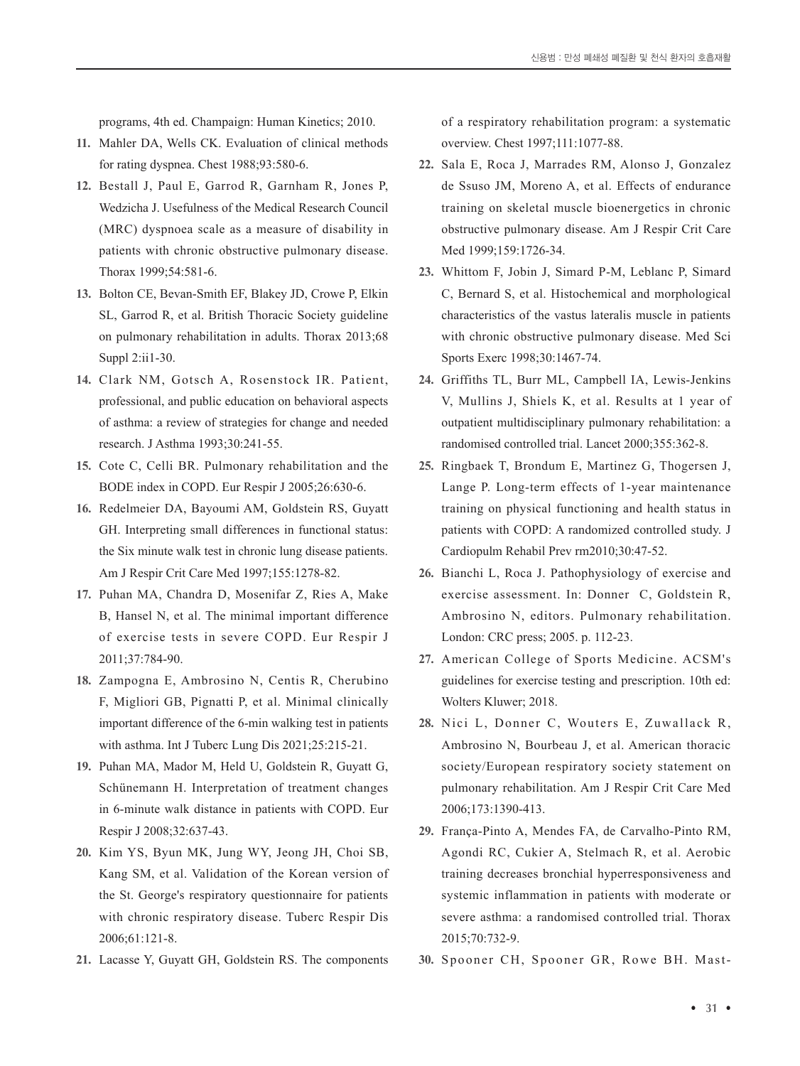programs, 4th ed. Champaign: Human Kinetics; 2010.

- **11.** Mahler DA, Wells CK. Evaluation of clinical methods for rating dyspnea. Chest 1988;93:580-6.
- **12.** Bestall J, Paul E, Garrod R, Garnham R, Jones P, Wedzicha J. Usefulness of the Medical Research Council (MRC) dyspnoea scale as a measure of disability in patients with chronic obstructive pulmonary disease. Thorax 1999;54:581-6.
- **13.** Bolton CE, Bevan-Smith EF, Blakey JD, Crowe P, Elkin SL, Garrod R, et al. British Thoracic Society guideline on pulmonary rehabilitation in adults. Thorax 2013;68 Suppl 2:ii1-30.
- **14.** Clark NM, Gotsch A, Rosenstock IR. Patient, professional, and public education on behavioral aspects of asthma: a review of strategies for change and needed research. J Asthma 1993;30:241-55.
- **15.** Cote C, Celli BR. Pulmonary rehabilitation and the BODE index in COPD. Eur Respir J 2005;26:630-6.
- **16.** Redelmeier DA, Bayoumi AM, Goldstein RS, Guyatt GH. Interpreting small differences in functional status: the Six minute walk test in chronic lung disease patients. Am J Respir Crit Care Med 1997;155:1278-82.
- **17.** Puhan MA, Chandra D, Mosenifar Z, Ries A, Make B, Hansel N, et al. The minimal important difference of exercise tests in severe COPD. Eur Respir J 2011;37:784-90.
- **18.** Zampogna E, Ambrosino N, Centis R, Cherubino F, Migliori GB, Pignatti P, et al. Minimal clinically important difference of the 6-min walking test in patients with asthma. Int J Tuberc Lung Dis 2021;25:215-21.
- **19.** Puhan MA, Mador M, Held U, Goldstein R, Guyatt G, Schünemann H. Interpretation of treatment changes in 6-minute walk distance in patients with COPD. Eur Respir J 2008;32:637-43.
- **20.** Kim YS, Byun MK, Jung WY, Jeong JH, Choi SB, Kang SM, et al. Validation of the Korean version of the St. George's respiratory questionnaire for patients with chronic respiratory disease. Tuberc Respir Dis 2006;61:121-8.
- **21.** Lacasse Y, Guyatt GH, Goldstein RS. The components

of a respiratory rehabilitation program: a systematic overview. Chest 1997;111:1077-88.

- **22.** Sala E, Roca J, Marrades RM, Alonso J, Gonzalez de Ssuso JM, Moreno A, et al. Effects of endurance training on skeletal muscle bioenergetics in chronic obstructive pulmonary disease. Am J Respir Crit Care Med 1999;159:1726-34.
- **23.** Whittom F, Jobin J, Simard P-M, Leblanc P, Simard C, Bernard S, et al. Histochemical and morphological characteristics of the vastus lateralis muscle in patients with chronic obstructive pulmonary disease. Med Sci Sports Exerc 1998;30:1467-74.
- **24.** Griffiths TL, Burr ML, Campbell IA, Lewis-Jenkins V, Mullins J, Shiels K, et al. Results at 1 year of outpatient multidisciplinary pulmonary rehabilitation: a randomised controlled trial. Lancet 2000;355:362-8.
- **25.** Ringbaek T, Brondum E, Martinez G, Thogersen J, Lange P. Long-term effects of 1-year maintenance training on physical functioning and health status in patients with COPD: A randomized controlled study. J Cardiopulm Rehabil Prev rm2010;30:47-52.
- **26.** Bianchi L, Roca J. Pathophysiology of exercise and exercise assessment. In: Donner C, Goldstein R, Ambrosino N, editors. Pulmonary rehabilitation. London: CRC press; 2005. p. 112-23.
- **27.** American College of Sports Medicine. ACSM's guidelines for exercise testing and prescription. 10th ed: Wolters Kluwer; 2018.
- **28.** Nici L, Donner C, Wouters E, Zuwallack R, Ambrosino N, Bourbeau J, et al. American thoracic society/European respiratory society statement on pulmonary rehabilitation. Am J Respir Crit Care Med 2006;173:1390-413.
- **29.** França-Pinto A, Mendes FA, de Carvalho-Pinto RM, Agondi RC, Cukier A, Stelmach R, et al. Aerobic training decreases bronchial hyperresponsiveness and systemic inflammation in patients with moderate or severe asthma: a randomised controlled trial. Thorax 2015;70:732-9.
- **30.** Spooner CH, Spooner GR, Rowe BH. Mast-